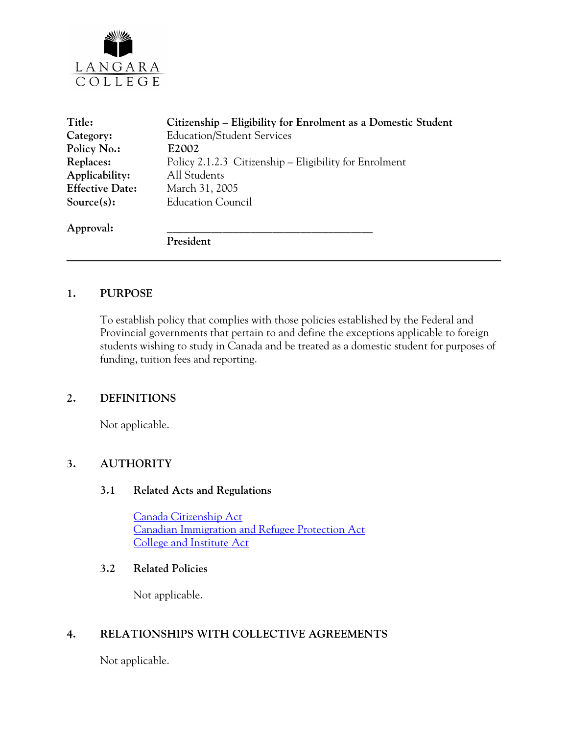

| Title:                 | Citizenship – Eligibility for Enrolment as a Domestic Student |
|------------------------|---------------------------------------------------------------|
| Category:              | <b>Education/Student Services</b>                             |
| Policy No.:            | E2002                                                         |
| Replaces:              | Policy 2.1.2.3 Citizenship – Eligibility for Enrolment        |
| Applicability:         | All Students                                                  |
| <b>Effective Date:</b> | March 31, 2005                                                |
| $Source(s)$ :          | <b>Education Council</b>                                      |
| Approval:              |                                                               |
|                        | President                                                     |
|                        |                                                               |

## **1. PURPOSE**

To establish policy that complies with those policies established by the Federal and Provincial governments that pertain to and define the exceptions applicable to foreign students wishing to study in Canada and be treated as a domestic student for purposes of funding, tuition fees and reporting.

## **2. DEFINITIONS**

Not applicable.

## **3. AUTHORITY**

#### **3.1 Related Acts and Regulations**

[Canada Citizenship Act](http://laws.justice.gc.ca/en/C-29/34586.html) [Canadian Immigration and Refugee Protection Act](http://www.cic.gc.ca/english/irpa/) [College and Institute Act](http://www.qp.gov.bc.ca/statreg/stat/C/96052_01.htm)

#### **3.2 Related Policies**

Not applicable.

## **4. RELATIONSHIPS WITH COLLECTIVE AGREEMENTS**

Not applicable.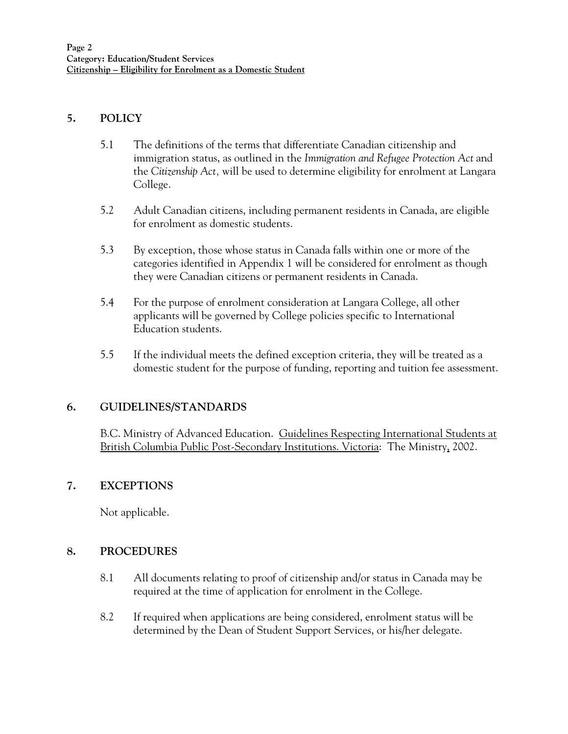## **5. POLICY**

- 5.1 The definitions of the terms that differentiate Canadian citizenship and immigration status, as outlined in the *Immigration and Refugee Protection Act* and the *Citizenship Act,* will be used to determine eligibility for enrolment at Langara College.
- 5.2 Adult Canadian citizens, including permanent residents in Canada, are eligible for enrolment as domestic students.
- 5.3 By exception, those whose status in Canada falls within one or more of the categories identified in Appendix 1 will be considered for enrolment as though they were Canadian citizens or permanent residents in Canada.
- 5.4 For the purpose of enrolment consideration at Langara College, all other applicants will be governed by College policies specific to International Education students.
- 5.5 If the individual meets the defined exception criteria, they will be treated as a domestic student for the purpose of funding, reporting and tuition fee assessment.

# **6. GUIDELINES/STANDARDS**

B.C. Ministry of Advanced Education. Guidelines Respecting International Students at British Columbia Public Post-Secondary Institutions. Victoria: The Ministry, 2002.

# **7. EXCEPTIONS**

Not applicable.

# **8. PROCEDURES**

- 8.1 All documents relating to proof of citizenship and/or status in Canada may be required at the time of application for enrolment in the College.
- 8.2 If required when applications are being considered, enrolment status will be determined by the Dean of Student Support Services, or his/her delegate.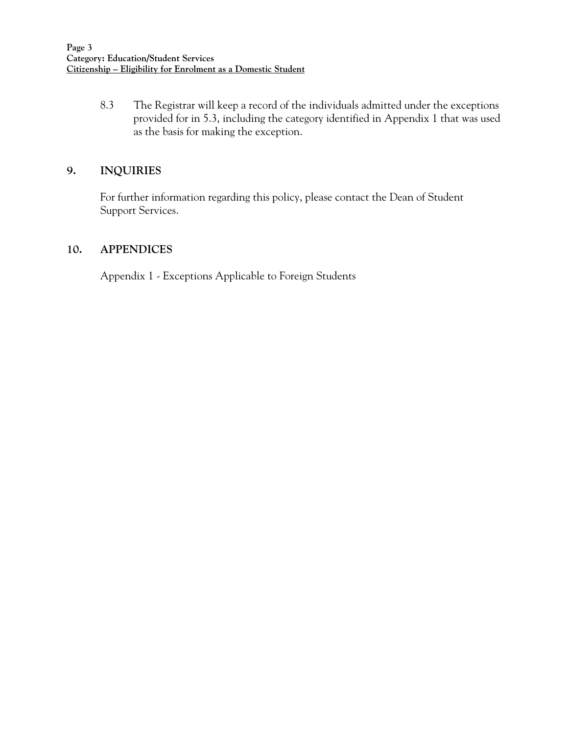8.3 The Registrar will keep a record of the individuals admitted under the exceptions provided for in 5.3, including the category identified in Appendix 1 that was used as the basis for making the exception.

# **9. INQUIRIES**

For further information regarding this policy, please contact the Dean of Student Support Services.

## **10. APPENDICES**

Appendix 1 - Exceptions Applicable to Foreign Students